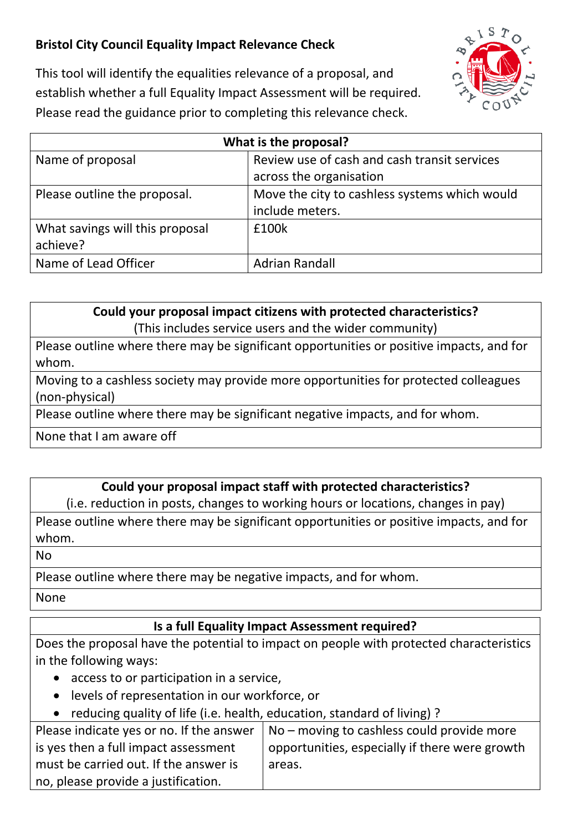## **Bristol City Council Equality Impact Relevance Check**



This tool will identify the equalities relevance of a proposal, and establish whether a full Equality Impact Assessment will be required. Please read the guidance prior to completing this relevance check.

| What is the proposal?           |                                               |
|---------------------------------|-----------------------------------------------|
| Name of proposal                | Review use of cash and cash transit services  |
|                                 | across the organisation                       |
| Please outline the proposal.    | Move the city to cashless systems which would |
|                                 | include meters.                               |
| What savings will this proposal | £100k                                         |
| achieve?                        |                                               |
| Name of Lead Officer            | <b>Adrian Randall</b>                         |

**Could your proposal impact citizens with protected characteristics?** (This includes service users and the wider community)

Please outline where there may be significant opportunities or positive impacts, and for whom.

Moving to a cashless society may provide more opportunities for protected colleagues (non-physical)

Please outline where there may be significant negative impacts, and for whom.

None that I am aware off

## **Could your proposal impact staff with protected characteristics?**

(i.e. reduction in posts, changes to working hours or locations, changes in pay)

Please outline where there may be significant opportunities or positive impacts, and for whom.

No

Please outline where there may be negative impacts, and for whom.

None

## **Is a full Equality Impact Assessment required?**

Does the proposal have the potential to impact on people with protected characteristics in the following ways:

- access to or participation in a service,
- levels of representation in our workforce, or
- reducing quality of life (i.e. health, education, standard of living) ?

| Please indicate yes or no. If the answer | $No$ – moving to cashless could provide more   |
|------------------------------------------|------------------------------------------------|
| is yes then a full impact assessment     | opportunities, especially if there were growth |
| must be carried out. If the answer is    | areas.                                         |
| no, please provide a justification.      |                                                |